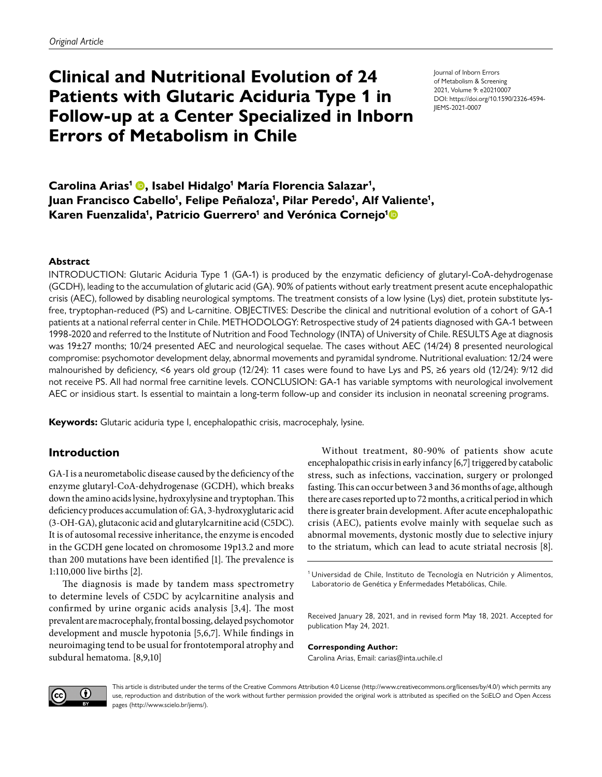# **Clinical and Nutritional Evolution of 24 Patients with Glutaric Aciduria Type 1 in Follow-up at a Center Specialized in Inborn Errors of Metabolism in Chile**

Journal of Inborn Errors of Metabolism & Screening 2021, Volume 9: e20210007 DOI: https://doi.org/10.1590/2326-4594- JIEMS-2021-0007

Carolina Arias<sup>1</sup> (D, Isabel Hidalgo<sup>1</sup> María Florencia Salazar<sup>1</sup>, Juan Francisco Cabello<sup>1</sup>, Felipe Peñaloza<sup>1</sup>, Pilar Peredo<sup>1</sup>, Alf Valiente<sup>1</sup>, **Karen Fuenzalida1 , Patricio Guerrero1 and Verónica Cornejo1**

#### **Abstract**

INTRODUCTION: Glutaric Aciduria Type 1 (GA-1) is produced by the enzymatic deficiency of glutaryl-CoA-dehydrogenase (GCDH), leading to the accumulation of glutaric acid (GA). 90% of patients without early treatment present acute encephalopathic crisis (AEC), followed by disabling neurological symptoms. The treatment consists of a low lysine (Lys) diet, protein substitute lysfree, tryptophan-reduced (PS) and L-carnitine. OBJECTIVES: Describe the clinical and nutritional evolution of a cohort of GA-1 patients at a national referral center in Chile. METHODOLOGY: Retrospective study of 24 patients diagnosed with GA-1 between 1998-2020 and referred to the Institute of Nutrition and Food Technology (INTA) of University of Chile. RESULTS Age at diagnosis was 19±27 months; 10/24 presented AEC and neurological sequelae. The cases without AEC (14/24) 8 presented neurological compromise: psychomotor development delay, abnormal movements and pyramidal syndrome. Nutritional evaluation: 12/24 were malnourished by deficiency, <6 years old group (12/24): 11 cases were found to have Lys and PS, ≥6 years old (12/24): 9/12 did not receive PS. All had normal free carnitine levels. CONCLUSION: GA-1 has variable symptoms with neurological involvement AEC or insidious start. Is essential to maintain a long-term follow-up and consider its inclusion in neonatal screening programs.

**Keywords:** Glutaric aciduria type I, encephalopathic crisis, macrocephaly, lysine.

# **Introduction**

GA-I is a neurometabolic disease caused by the deficiency of the enzyme glutaryl-CoA-dehydrogenase (GCDH), which breaks down the amino acids lysine, hydroxylysine and tryptophan. This deficiency produces accumulation of: GA, 3-hydroxyglutaric acid (3-OH-GA), glutaconic acid and glutarylcarnitine acid (C5DC). It is of autosomal recessive inheritance, the enzyme is encoded in the GCDH gene located on chromosome 19p13.2 and more than 200 mutations have been identified [\[1\]](#page-6-0). The prevalence is 1:110,000 live births [\[2\]](#page-6-1).

The diagnosis is made by tandem mass spectrometry to determine levels of C5DC by acylcarnitine analysis and confirmed by urine organic acids analysis [\[3,](#page-6-2)[4\]](#page-6-3). The most prevalent are macrocephaly, frontal bossing, delayed psychomotor development and muscle hypotonia [\[5,](#page-6-4)[6](#page-6-5)[,7\]](#page-6-6). While findings in neuroimaging tend to be usual for frontotemporal atrophy and subdural hematoma. [\[8](#page-6-7),[9](#page-6-8)[,10](#page-6-9)]

Without treatment, 80-90% of patients show acute encephalopathic crisis in early infancy [\[6](#page-6-5)[,7](#page-6-6)] triggered by catabolic stress, such as infections, vaccination, surgery or prolonged fasting. This can occur between 3 and 36 months of age, although there are cases reported up to 72 months, a critical period in which there is greater brain development. After acute encephalopathic crisis (AEC), patients evolve mainly with sequelae such as abnormal movements, dystonic mostly due to selective injury to the striatum, which can lead to acute striatal necrosis [\[8](#page-6-7)].

<sup>1</sup> Universidad de Chile, Instituto de Tecnología en Nutrición y Alimentos, Laboratorio de Genética y Enfermedades Metabólicas, Chile.

Received January 28, 2021, and in revised form May 18, 2021. Accepted for publication May 24, 2021.

**Corresponding Author:** Carolina Arias, Email: carias@inta.uchile.cl



This article is distributed under the terms of the Creative Commons Attribution 4.0 License [\(http://www.creativecommons.org/licenses/by/4.0/\)](http://www.creativecommons.org/licenses/by/4.0/) which permits any use, reproduction and distribution of the work without further permission provided the original work is attributed as specified on the SciELO and Open Access pages (<http://www.scielo.br/jiems/>).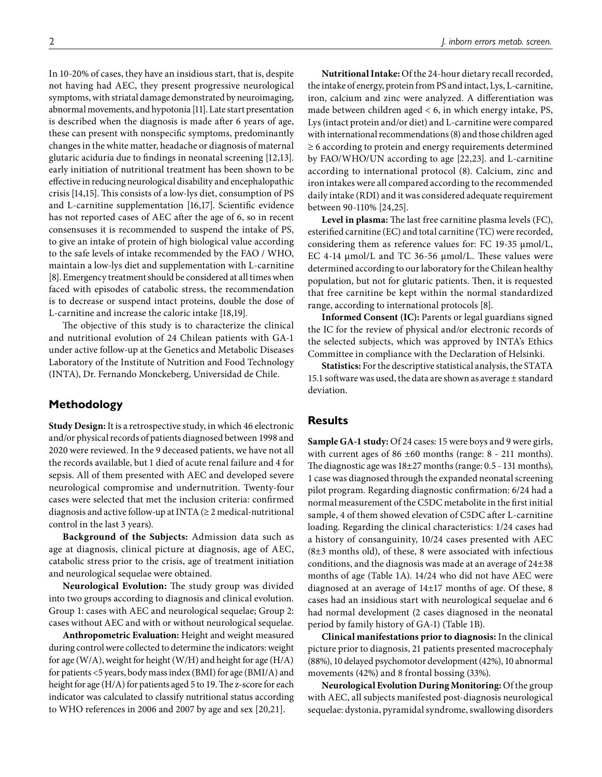In 10-20% of cases, they have an insidious start, that is, despite not having had AEC, they present progressive neurological symptoms, with striatal damage demonstrated by neuroimaging, abnormal movements, and hypotonia [\[11](#page-6-10)]. Late start presentation is described when the diagnosis is made after 6 years of age, these can present with nonspecific symptoms, predominantly changes in the white matter, headache or diagnosis of maternal glutaric aciduria due to findings in neonatal screening [\[12,](#page-6-11)[13\]](#page-6-12). early initiation of nutritional treatment has been shown to be effective in reducing neurological disability and encephalopathic crisis [\[14,](#page-6-13)[15\]](#page-6-14). This consists of a low-lys diet, consumption of PS and L-carnitine supplementation [\[16](#page-6-15)[,17](#page-6-16)]. Scientific evidence has not reported cases of AEC after the age of 6, so in recent consensuses it is recommended to suspend the intake of PS, to give an intake of protein of high biological value according to the safe levels of intake recommended by the FAO / WHO, maintain a low-lys diet and supplementation with L-carnitine [\[8\]](#page-6-7). Emergency treatment should be considered at all times when faced with episodes of catabolic stress, the recommendation

L-carnitine and increase the caloric intake [\[18,](#page-6-17)[19\]](#page-7-0). The objective of this study is to characterize the clinical and nutritional evolution of 24 Chilean patients with GA-1 under active follow-up at the Genetics and Metabolic Diseases Laboratory of the Institute of Nutrition and Food Technology (INTA), Dr. Fernando Monckeberg, Universidad de Chile.

is to decrease or suspend intact proteins, double the dose of

# **Methodology**

**Study Design:** It is a retrospective study, in which 46 electronic and/or physical records of patients diagnosed between 1998 and 2020 were reviewed. In the 9 deceased patients, we have not all the records available, but 1 died of acute renal failure and 4 for sepsis. All of them presented with AEC and developed severe neurological compromise and undernutrition. Twenty-four cases were selected that met the inclusion criteria: confirmed diagnosis and active follow-up at INTA  $(≥ 2$  medical-nutritional control in the last 3 years).

**Background of the Subjects:** Admission data such as age at diagnosis, clinical picture at diagnosis, age of AEC, catabolic stress prior to the crisis, age of treatment initiation and neurological sequelae were obtained.

**Neurological Evolution:** The study group was divided into two groups according to diagnosis and clinical evolution. Group 1: cases with AEC and neurological sequelae; Group 2: cases without AEC and with or without neurological sequelae.

**Anthropometric Evaluation:** Height and weight measured during control were collected to determine the indicators: weight for age (W/A), weight for height (W/H) and height for age (H/A) for patients <5 years, body mass index (BMI) for age (BMI/A) and height for age (H/A) for patients aged 5 to 19. The z-score for each indicator was calculated to classify nutritional status according to WHO references in 2006 and 2007 by age and sex [\[20,](#page-7-1)[21\]](#page-7-2).

**Nutritional Intake:** Of the 24-hour dietary recall recorded, the intake of energy, protein from PS and intact, Lys, L-carnitine, iron, calcium and zinc were analyzed. A differentiation was made between children aged  $< 6$ , in which energy intake, PS, Lys (intact protein and/or diet) and L-carnitine were compared with international recommendations (8) and those children aged ≥ 6 according to protein and energy requirements determined by FAO/WHO/UN according to age [\[22](#page-7-3)[,23\]](#page-7-4). and L-carnitine according to international protocol (8). Calcium, zinc and iron intakes were all compared according to the recommended daily intake (RDI) and it was considered adequate requirement between 90-110% [\[24](#page-7-5),25].

**Level in plasma:** The last free carnitine plasma levels (FC), esterified carnitine (EC) and total carnitine (TC) were recorded, considering them as reference values for: FC 19-35 μmol/L, EC 4-14 μmol/L and TC 36-56 μmol/L. These values were determined according to our laboratory for the Chilean healthy population, but not for glutaric patients. Then, it is requested that free carnitine be kept within the normal standardized range, according to international protocols [\[8](#page-6-7)].

**Informed Consent (IC):** Parents or legal guardians signed the IC for the review of physical and/or electronic records of the selected subjects, which was approved by INTA's Ethics Committee in compliance with the Declaration of Helsinki.

**Statistics:** For the descriptive statistical analysis, the STATA 15.1 software was used, the data are shown as average  $\pm$  standard deviation.

# **Results**

**Sample GA-1 study:** Of 24 cases: 15 were boys and 9 were girls, with current ages of 86 ±60 months (range: 8 - 211 months). The diagnostic age was 18±27 months (range: 0.5 - 131 months), 1 case was diagnosed through the expanded neonatal screening pilot program. Regarding diagnostic confirmation: 6/24 had a normal measurement of the C5DC metabolite in the first initial sample, 4 of them showed elevation of C5DC after L-carnitine loading. Regarding the clinical characteristics: 1/24 cases had a history of consanguinity, 10/24 cases presented with AEC (8±3 months old), of these, 8 were associated with infectious conditions, and the diagnosis was made at an average of 24±38 months of age ([Table 1A\)](#page-2-0). 14/24 who did not have AEC were diagnosed at an average of 14±17 months of age. Of these, 8 cases had an insidious start with neurological sequelae and 6 had normal development (2 cases diagnosed in the neonatal period by family history of GA-1) ([Table 1B\)](#page-2-1).

**Clinical manifestations prior to diagnosis:** In the clinical picture prior to diagnosis, 21 patients presented macrocephaly (88%), 10 delayed psychomotor development (42%), 10 abnormal movements (42%) and 8 frontal bossing (33%).

**Neurological Evolution During Monitoring:** Of the group with AEC, all subjects manifested post-diagnosis neurological sequelae: dystonia, pyramidal syndrome, swallowing disorders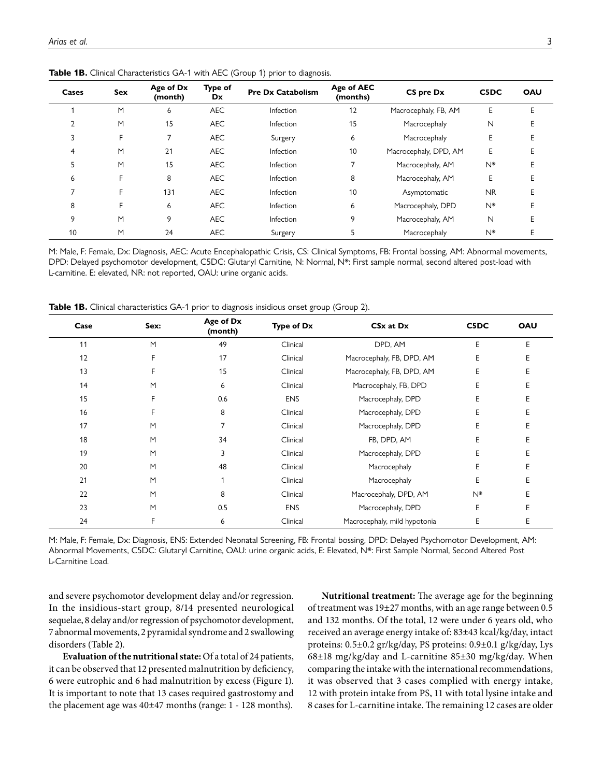| Cases | Sex | Age of Dx<br>(month) | Type of<br>Dx | <b>Pre Dx Catabolism</b> | Age of AEC<br>(months) | CS pre Dx             | C5DC      | OAU |
|-------|-----|----------------------|---------------|--------------------------|------------------------|-----------------------|-----------|-----|
|       | M   | 6                    | <b>AEC</b>    | Infection                | 12                     | Macrocephaly, FB, AM  | Е         | Е   |
|       | M   | 15                   | <b>AEC</b>    | Infection                | 15                     | Macrocephaly          | N         |     |
|       | F   |                      | <b>AEC</b>    | Surgery                  | 6                      | Macrocephaly          | E         |     |
| 4     | M   | 21                   | <b>AEC</b>    | Infection                | 10                     | Macrocephaly, DPD, AM | E         |     |
| 5     | M   | 15                   | <b>AEC</b>    | Infection                |                        | Macrocephaly, AM      | $N^*$     |     |
| 6     | F   | 8                    | <b>AEC</b>    | Infection                | 8                      | Macrocephaly, AM      | E         |     |
|       | F.  | 131                  | <b>AEC</b>    | Infection                | 10                     | Asymptomatic          | <b>NR</b> |     |
| 8     | F.  | 6                    | <b>AEC</b>    | Infection                | 6                      | Macrocephaly, DPD     | $N^*$     |     |
| 9     | M   | 9                    | <b>AEC</b>    | Infection                | 9                      | Macrocephaly, AM      | N         |     |
| 10    | M   | 24                   | <b>AEC</b>    | Surgery                  |                        | Macrocephaly          | $N^*$     |     |

<span id="page-2-0"></span>Table 1B. Clinical Characteristics GA-1 with AEC (Group 1) prior to diagnosis.

M: Male, F: Female, Dx: Diagnosis, AEC: Acute Encephalopathic Crisis, CS: Clinical Symptoms, FB: Frontal bossing, AM: Abnormal movements, DPD: Delayed psychomotor development, C5DC: Glutaryl Carnitine, N: Normal, N\*: First sample normal, second altered post-load with L-carnitine. E: elevated, NR: not reported, OAU: urine organic acids.

<span id="page-2-1"></span>**Table 1B.** Clinical characteristics GA-1 prior to diagnosis insidious onset group (Group 2).

| Case | Sex: | Age of Dx<br>(month) | <b>Type of Dx</b> | CSx at Dx                    | C5DC  | <b>OAU</b> |
|------|------|----------------------|-------------------|------------------------------|-------|------------|
| 11   | M    | 49                   | Clinical          | DPD, AM                      | E     | E          |
| 12   | F    | 17                   | Clinical          | Macrocephaly, FB, DPD, AM    | E     |            |
| 13   | F    | 15                   | Clinical          | Macrocephaly, FB, DPD, AM    | Ε     | Ε          |
| 14   | M    | 6                    | Clinical          | Macrocephaly, FB, DPD        | E     | E          |
| 15   | F    | 0.6                  | <b>ENS</b>        | Macrocephaly, DPD            | E     | E          |
| 16   | F    | 8                    | Clinical          | Macrocephaly, DPD            | E     | E          |
| 17   | M    | 7                    | Clinical          | Macrocephaly, DPD            | E     | E          |
| 18   | M    | 34                   | Clinical          | FB, DPD, AM                  | E     | Е          |
| 19   | M    | 3                    | Clinical          | Macrocephaly, DPD            | E     | F          |
| 20   | M    | 48                   | Clinical          | Macrocephaly                 | E     | E          |
| 21   | M    |                      | Clinical          | Macrocephaly                 | E     | Е          |
| 22   | M    | 8                    | Clinical          | Macrocephaly, DPD, AM        | $N^*$ | F          |
| 23   | M    | 0.5                  | <b>ENS</b>        | Macrocephaly, DPD            | E     | E          |
| 24   | F    | 6                    | Clinical          | Macrocephaly, mild hypotonia | E     | Е          |

M: Male, F: Female, Dx: Diagnosis, ENS: Extended Neonatal Screening, FB: Frontal bossing, DPD: Delayed Psychomotor Development, AM: Abnormal Movements, C5DC: Glutaryl Carnitine, OAU: urine organic acids, E: Elevated, N\*: First Sample Normal, Second Altered Post L-Carnitine Load.

and severe psychomotor development delay and/or regression. In the insidious-start group, 8/14 presented neurological sequelae, 8 delay and/or regression of psychomotor development, 7 abnormal movements, 2 pyramidal syndrome and 2 swallowing disorders ([Table 2](#page-3-0)).

**Evaluation of the nutritional state:** Of a total of 24 patients, it can be observed that 12 presented malnutrition by deficiency, 6 were eutrophic and 6 had malnutrition by excess ([Figure 1\)](#page-3-1). It is important to note that 13 cases required gastrostomy and the placement age was 40±47 months (range: 1 - 128 months).

**Nutritional treatment:** The average age for the beginning of treatment was 19±27 months, with an age range between 0.5 and 132 months. Of the total, 12 were under 6 years old, who received an average energy intake of: 83±43 kcal/kg/day, intact proteins: 0.5±0.2 gr/kg/day, PS proteins: 0.9±0.1 g/kg/day, Lys 68±18 mg/kg/day and L-carnitine 85±30 mg/kg/day. When comparing the intake with the international recommendations, it was observed that 3 cases complied with energy intake, 12 with protein intake from PS, 11 with total lysine intake and 8 cases for L-carnitine intake. The remaining 12 cases are older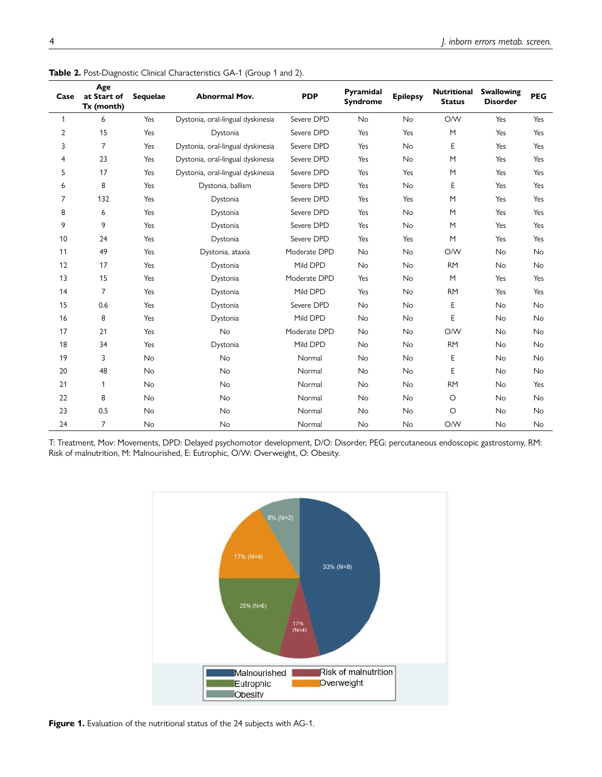| Case | Age<br>at Start of<br>Tx (month) | <b>Sequelae</b> | <b>Abnormal Mov.</b>              | <b>PDP</b>   | Pyramidal<br><b>Syndrome</b> | <b>Epilepsy</b> | <b>Nutritional</b><br><b>Status</b> | <b>Swallowing</b><br><b>Disorder</b> | <b>PEG</b> |
|------|----------------------------------|-----------------|-----------------------------------|--------------|------------------------------|-----------------|-------------------------------------|--------------------------------------|------------|
| 1    | 6                                | Yes             | Dystonia, oral-lingual dyskinesia | Severe DPD   | <b>No</b>                    | <b>No</b>       | O/W                                 | Yes                                  | Yes        |
| 2    | 15                               | Yes             | Dystonia                          | Severe DPD   | Yes                          | Yes             | M                                   | Yes                                  | Yes        |
| 3    | 7                                | Yes             | Dystonia, oral-lingual dyskinesia | Severe DPD   | Yes                          | No              | E                                   | Yes                                  | Yes        |
| 4    | 23                               | Yes             | Dystonia, oral-lingual dyskinesia | Severe DPD   | Yes                          | <b>No</b>       | M                                   | Yes                                  | Yes        |
| 5    | 17                               | Yes             | Dystonia, oral-lingual dyskinesia | Severe DPD   | Yes                          | Yes             | M                                   | Yes                                  | Yes        |
| 6    | 8                                | Yes             | Dystonia, ballism                 | Severe DPD   | Yes                          | <b>No</b>       | E                                   | Yes                                  | Yes        |
| 7    | 132                              | Yes             | Dystonia                          | Severe DPD   | Yes                          | Yes             | M                                   | Yes                                  | Yes        |
| 8    | 6                                | Yes             | Dystonia                          | Severe DPD   | Yes                          | No              | M                                   | Yes                                  | Yes        |
| 9    | 9                                | Yes             | Dystonia                          | Severe DPD   | Yes                          | No              | M                                   | Yes                                  | Yes        |
| 10   | 24                               | Yes             | Dystonia                          | Severe DPD   | Yes                          | Yes             | M                                   | Yes                                  | Yes        |
| 11   | 49                               | Yes             | Dystonia, ataxia                  | Moderate DPD | <b>No</b>                    | <b>No</b>       | O/W                                 | <b>No</b>                            | <b>No</b>  |
| 12   | 17                               | Yes             | Dystonia                          | Mild DPD     | <b>No</b>                    | <b>No</b>       | <b>RM</b>                           | <b>No</b>                            | <b>No</b>  |
| 13   | 15                               | Yes             | Dystonia                          | Moderate DPD | Yes                          | <b>No</b>       | M                                   | Yes                                  | Yes        |
| 14   | $\overline{7}$                   | Yes             | Dystonia                          | Mild DPD     | Yes                          | No              | <b>RM</b>                           | Yes                                  | Yes        |
| 15   | 0.6                              | Yes             | Dystonia                          | Severe DPD   | No                           | No              | E                                   | No                                   | No         |
| 16   | 8                                | Yes             | Dystonia                          | Mild DPD     | <b>No</b>                    | <b>No</b>       | E                                   | <b>No</b>                            | <b>No</b>  |
| 17   | 21                               | Yes             | <b>No</b>                         | Moderate DPD | <b>No</b>                    | <b>No</b>       | O/W                                 | <b>No</b>                            | <b>No</b>  |
| 18   | 34                               | Yes             | Dystonia                          | Mild DPD     | <b>No</b>                    | <b>No</b>       | <b>RM</b>                           | <b>No</b>                            | <b>No</b>  |
| 19   | 3                                | No              | No                                | Normal       | No                           | No              | E                                   | <b>No</b>                            | <b>No</b>  |
| 20   | 48                               | No              | <b>No</b>                         | Normal       | No                           | No              | E                                   | <b>No</b>                            | No         |
| 21   | 1                                | <b>No</b>       | <b>No</b>                         | Normal       | <b>No</b>                    | <b>No</b>       | <b>RM</b>                           | <b>No</b>                            | Yes        |
| 22   | 8                                | No              | <b>No</b>                         | Normal       | <b>No</b>                    | <b>No</b>       | O                                   | <b>No</b>                            | <b>No</b>  |
| 23   | 0.5                              | <b>No</b>       | <b>No</b>                         | Normal       | <b>No</b>                    | <b>No</b>       | $\circ$                             | <b>No</b>                            | <b>No</b>  |
| 24   | 7                                | No              | <b>No</b>                         | Normal       | No                           | <b>No</b>       | O/W                                 | <b>No</b>                            | <b>No</b>  |

<span id="page-3-0"></span>Table 2. Post-Diagnostic Clinical Characteristics GA-1 (Group 1 and 2).

T: Treatment, Mov: Movements, DPD: Delayed psychomotor development, D/O: Disorder, PEG: percutaneous endoscopic gastrostomy, RM: Risk of malnutrition, M: Malnourished, E: Eutrophic, O/W: Overweight, O: Obesity.



<span id="page-3-1"></span>Figure 1. Evaluation of the nutritional status of the 24 subjects with AG-1.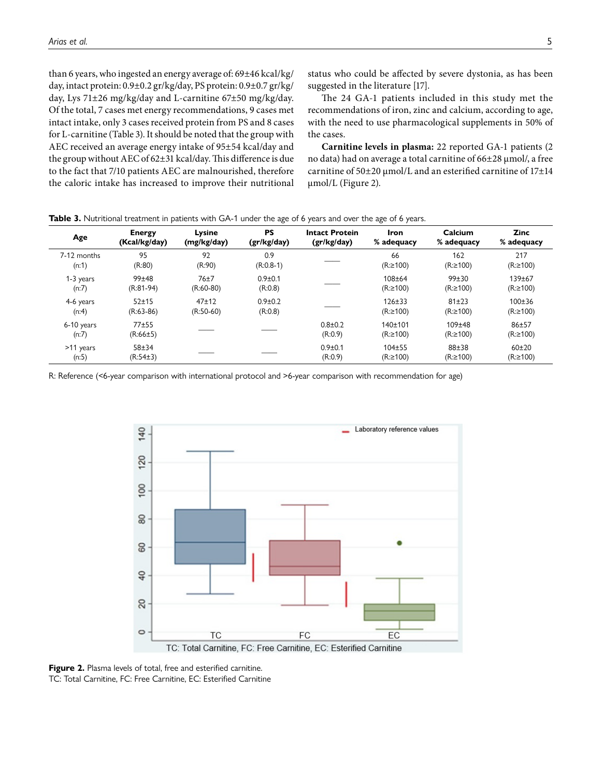than 6 years, who ingested an energy average of: 69±46 kcal/kg/ day, intact protein: 0.9±0.2 gr/kg/day, PS protein: 0.9±0.7 gr/kg/ day, Lys 71±26 mg/kg/day and L-carnitine 67±50 mg/kg/day. Of the total, 7 cases met energy recommendations, 9 cases met intact intake, only 3 cases received protein from PS and 8 cases for L-carnitine [\(Table 3](#page-4-0)). It should be noted that the group with AEC received an average energy intake of 95±54 kcal/day and the group without AEC of 62±31 kcal/day. This difference is due to the fact that 7/10 patients AEC are malnourished, therefore the caloric intake has increased to improve their nutritional status who could be affected by severe dystonia, as has been suggested in the literature [\[17\]](#page-6-16).

The 24 GA-1 patients included in this study met the recommendations of iron, zinc and calcium, according to age, with the need to use pharmacological supplements in 50% of the cases.

**Carnitine levels in plasma:** 22 reported GA-1 patients (2 no data) had on average a total carnitine of 66±28 μmol/, a free carnitine of 50±20 μmol/L and an esterified carnitine of 17±14 μmol/L [\(Figure 2](#page-4-1)).

| Age                 | <b>Energy</b>         | Lysine      | <b>PS</b>   | <b>Intact Protein</b>  | Iron                      | Calcium                | <b>Zinc</b>                 |
|---------------------|-----------------------|-------------|-------------|------------------------|---------------------------|------------------------|-----------------------------|
|                     | (Kcal/kg/day)         | (mg/kg/day) | (gr/kg/day) | (gr/kg/day)            | % adequacy                | % adequacy             | % adequacy                  |
| 7-12 months         | 95                    | 92          | 0.9         |                        | 66                        | 162                    | 217                         |
| (n:1)               | (R:80)                | (R:90)      | $(R:0.8-1)$ |                        | $(R: \ge 100)$            | $(R: \ge 100)$         | (R:≥100)                    |
| 1-3 years           | 99±48                 | 76±7        | $0.9 + 0.1$ |                        | $108 + 64$                | $99 + 30$              | 139±67                      |
| (n:7)               | $(R:81-94)$           | $(R:60-80)$ | (R:0.8)     |                        | $(R: \ge 100)$            | $(R: \ge 100)$         | (R:≥100)                    |
| 4-6 years           | $52 + 15$             | $47 + 12$   | $0.9 + 0.2$ |                        | $126 \pm 33$              | $81 + 23$              | 100±36                      |
| (n:4)               | $(R:63-86)$           | $(R:50-60)$ | (R:0.8)     |                        | $(R: \ge 100)$            | $(R: \ge 100)$         | (R:≥100)                    |
| 6-10 years<br>(n:7) | $77 + 55$<br>(R:66±5) |             |             | $0.8 + 0.2$<br>(R:0.9) | 140±101<br>$(R: \ge 100)$ | $109 + 48$<br>(R:≥100) | $86 + 57$<br>(R:≥100)       |
| >11 years<br>(n:5)  | $58 + 34$<br>(R:54±3) |             |             | $0.9 + 0.1$<br>(R:0.9) | $104 + 55$<br>(R:≥100)    | $88 + 38$<br>(R:≥100)  | $60 + 20$<br>$(R: \ge 100)$ |

<span id="page-4-0"></span>**Table 3.** Nutritional treatment in patients with GA-1 under the age of 6 years and over the age of 6 years.

R: Reference (<6-year comparison with international protocol and >6-year comparison with recommendation for age)



<span id="page-4-1"></span>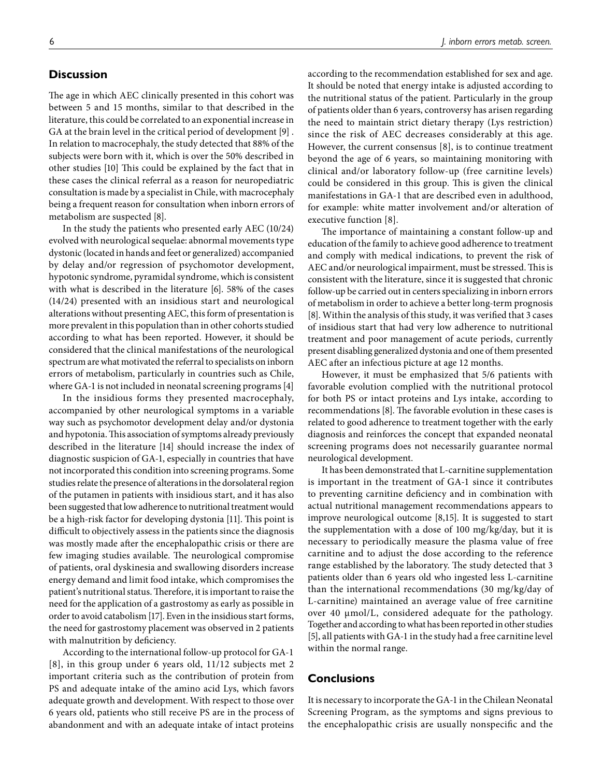#### **Discussion**

The age in which AEC clinically presented in this cohort was between 5 and 15 months, similar to that described in the literature, this could be correlated to an exponential increase in GA at the brain level in the critical period of development [\[9](#page-6-8)] . In relation to macrocephaly, the study detected that 88% of the subjects were born with it, which is over the 50% described in other studies [\[10](#page-6-9)] This could be explained by the fact that in these cases the clinical referral as a reason for neuropediatric consultation is made by a specialist in Chile, with macrocephaly being a frequent reason for consultation when inborn errors of metabolism are suspected [\[8\]](#page-6-7).

In the study the patients who presented early AEC (10/24) evolved with neurological sequelae: abnormal movements type dystonic (located in hands and feet or generalized) accompanied by delay and/or regression of psychomotor development, hypotonic syndrome, pyramidal syndrome, which is consistent with what is described in the literature [[6\]](#page-6-5). 58% of the cases (14/24) presented with an insidious start and neurological alterations without presenting AEC, this form of presentation is more prevalent in this population than in other cohorts studied according to what has been reported. However, it should be considered that the clinical manifestations of the neurological spectrum are what motivated the referral to specialists on inborn errors of metabolism, particularly in countries such as Chile, where GA-1 is not included in neonatal screening programs [\[4\]](#page-6-3)

In the insidious forms they presented macrocephaly, accompanied by other neurological symptoms in a variable way such as psychomotor development delay and/or dystonia and hypotonia. This association of symptoms already previously described in the literature [\[14](#page-6-13)] should increase the index of diagnostic suspicion of GA-1, especially in countries that have not incorporated this condition into screening programs. Some studies relate the presence of alterations in the dorsolateral region of the putamen in patients with insidious start, and it has also been suggested that low adherence to nutritional treatment would be a high-risk factor for developing dystonia [\[11](#page-6-10)]. This point is difficult to objectively assess in the patients since the diagnosis was mostly made after the encephalopathic crisis or there are few imaging studies available. The neurological compromise of patients, oral dyskinesia and swallowing disorders increase energy demand and limit food intake, which compromises the patient's nutritional status. Therefore, it is important to raise the need for the application of a gastrostomy as early as possible in order to avoid catabolism [\[17](#page-6-16)]. Even in the insidious start forms, the need for gastrostomy placement was observed in 2 patients with malnutrition by deficiency.

According to the international follow-up protocol for GA-1 [\[8](#page-6-7)], in this group under 6 years old, 11/12 subjects met 2 important criteria such as the contribution of protein from PS and adequate intake of the amino acid Lys, which favors adequate growth and development. With respect to those over 6 years old, patients who still receive PS are in the process of abandonment and with an adequate intake of intact proteins according to the recommendation established for sex and age. It should be noted that energy intake is adjusted according to the nutritional status of the patient. Particularly in the group of patients older than 6 years, controversy has arisen regarding the need to maintain strict dietary therapy (Lys restriction) since the risk of AEC decreases considerably at this age. However, the current consensus [[8](#page-6-7)], is to continue treatment beyond the age of 6 years, so maintaining monitoring with clinical and/or laboratory follow-up (free carnitine levels) could be considered in this group. This is given the clinical manifestations in GA-1 that are described even in adulthood, for example: white matter involvement and/or alteration of executive function [[8\]](#page-6-7).

The importance of maintaining a constant follow-up and education of the family to achieve good adherence to treatment and comply with medical indications, to prevent the risk of AEC and/or neurological impairment, must be stressed. This is consistent with the literature, since it is suggested that chronic follow-up be carried out in centers specializing in inborn errors of metabolism in order to achieve a better long-term prognosis [\[8\]](#page-6-7). Within the analysis of this study, it was verified that 3 cases of insidious start that had very low adherence to nutritional treatment and poor management of acute periods, currently present disabling generalized dystonia and one of them presented AEC after an infectious picture at age 12 months.

However, it must be emphasized that 5/6 patients with favorable evolution complied with the nutritional protocol for both PS or intact proteins and Lys intake, according to recommendations [\[8](#page-6-7)]. The favorable evolution in these cases is related to good adherence to treatment together with the early diagnosis and reinforces the concept that expanded neonatal screening programs does not necessarily guarantee normal neurological development.

It has been demonstrated that L-carnitine supplementation is important in the treatment of GA-1 since it contributes to preventing carnitine deficiency and in combination with actual nutritional management recommendations appears to improve neurological outcome [\[8,](#page-6-7)[15\]](#page-6-14). It is suggested to start the supplementation with a dose of 100 mg/kg/day, but it is necessary to periodically measure the plasma value of free carnitine and to adjust the dose according to the reference range established by the laboratory. The study detected that 3 patients older than 6 years old who ingested less L-carnitine than the international recommendations (30 mg/kg/day of L-carnitine) maintained an average value of free carnitine over 40 μmol/L, considered adequate for the pathology. Together and according to what has been reported in other studies [\[5\]](#page-6-4), all patients with GA-1 in the study had a free carnitine level within the normal range.

#### **Conclusions**

It is necessary to incorporate the GA-1 in the Chilean Neonatal Screening Program, as the symptoms and signs previous to the encephalopathic crisis are usually nonspecific and the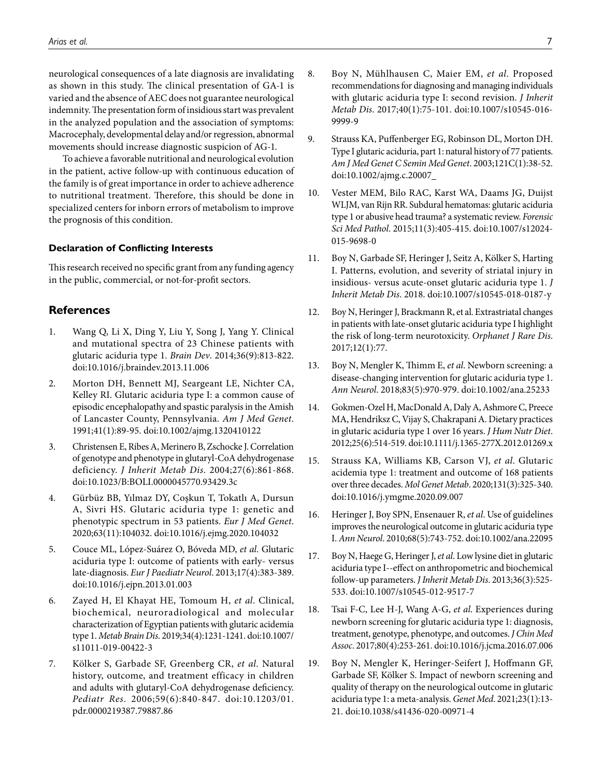neurological consequences of a late diagnosis are invalidating as shown in this study. The clinical presentation of GA-1 is varied and the absence of AEC does not guarantee neurological indemnity. The presentation form of insidious start was prevalent in the analyzed population and the association of symptoms: Macrocephaly, developmental delay and/or regression, abnormal movements should increase diagnostic suspicion of AG-1.

To achieve a favorable nutritional and neurological evolution in the patient, active follow-up with continuous education of the family is of great importance in order to achieve adherence to nutritional treatment. Therefore, this should be done in specialized centers for inborn errors of metabolism to improve the prognosis of this condition.

#### **Declaration of Conflicting Interests**

This research received no specific grant from any funding agency in the public, commercial, or not-for-profit sectors.

# **References**

- <span id="page-6-0"></span>1. Wang Q, Li X, Ding Y, Liu Y, Song J, Yang Y. Clinical and mutational spectra of 23 Chinese patients with glutaric aciduria type 1. *Brain Dev*. 2014;36(9):813-822. doi:10.1016/j.braindev.2013.11.006
- <span id="page-6-1"></span>2. Morton DH, Bennett MJ, Seargeant LE, Nichter CA, Kelley RI. Glutaric aciduria type I: a common cause of episodic encephalopathy and spastic paralysis in the Amish of Lancaster County, Pennsylvania. *Am J Med Genet*. 1991;41(1):89-95. doi:10.1002/ajmg.1320410122
- <span id="page-6-2"></span>3. Christensen E, Ribes A, Merinero B, Zschocke J. Correlation of genotype and phenotype in glutaryl-CoA dehydrogenase deficiency. *J Inherit Metab Dis*. 2004;27(6):861-868. doi:10.1023/B:BOLI.0000045770.93429.3c
- <span id="page-6-3"></span>4. Gürbüz BB, Yılmaz DY, Coşkun T, Tokatlı A, Dursun A, Sivri HS. Glutaric aciduria type 1: genetic and phenotypic spectrum in 53 patients. *Eur J Med Genet*. 2020;63(11):104032. doi:10.1016/j.ejmg.2020.104032
- <span id="page-6-4"></span>5. Couce ML, López-Suárez O, Bóveda MD, *et al*. Glutaric aciduria type I: outcome of patients with early- versus late-diagnosis. *Eur J Paediatr Neurol*. 2013;17(4):383-389. doi:10.1016/j.ejpn.2013.01.003
- <span id="page-6-5"></span>6. Zayed H, El Khayat HE, Tomoum H, *et al*. Clinical, biochemical, neuroradiological and molecular characterization of Egyptian patients with glutaric acidemia type 1. *Metab Brain Dis*. 2019;34(4):1231-1241. doi:10.1007/ s11011-019-00422-3
- <span id="page-6-6"></span>7. Kölker S, Garbade SF, Greenberg CR, *et al*. Natural history, outcome, and treatment efficacy in children and adults with glutaryl-CoA dehydrogenase deficiency. *Pediatr Res*. 2006;59(6):840-847. doi:10.1203/01. pdr.0000219387.79887.86
- <span id="page-6-7"></span>8. Boy N, Mühlhausen C, Maier EM, *et al*. Proposed recommendations for diagnosing and managing individuals with glutaric aciduria type I: second revision. *J Inherit Metab Dis*. 2017;40(1):75-101. doi:10.1007/s10545-016- 9999-9
- <span id="page-6-8"></span>9. Strauss KA, Puffenberger EG, Robinson DL, Morton DH. Type I glutaric aciduria, part 1: natural history of 77 patients. *Am J Med Genet C Semin Med Genet*. 2003;121C(1):38-52. doi:10.1002/ajmg.c.20007
- <span id="page-6-9"></span>10. Vester MEM, Bilo RAC, Karst WA, Daams JG, Duijst WLJM, van Rijn RR. Subdural hematomas: glutaric aciduria type 1 or abusive head trauma? a systematic review. *Forensic Sci Med Pathol*. 2015;11(3):405-415. doi:10.1007/s12024- 015-9698-0
- <span id="page-6-10"></span>11. Boy N, Garbade SF, Heringer J, Seitz A, Kölker S, Harting I. Patterns, evolution, and severity of striatal injury in insidious- versus acute-onset glutaric aciduria type 1. *J Inherit Metab Dis*. 2018. doi:10.1007/s10545-018-0187-y
- 12. Boy N, Heringer J, Brackmann R, et al. Extrastriatal changes in patients with late-onset glutaric aciduria type I highlight the risk of long-term neurotoxicity. *Orphanet J Rare Dis*. 2017;12(1):77.
- <span id="page-6-11"></span>13. Boy N, Mengler K, Thimm E, *et al*. Newborn screening: a disease-changing intervention for glutaric aciduria type 1. *Ann Neurol*. 2018;83(5):970-979. doi:10.1002/ana.25233
- <span id="page-6-12"></span>14. Gokmen-Ozel H, MacDonald A, Daly A, Ashmore C, Preece MA, Hendriksz C, Vijay S, Chakrapani A. Dietary practices in glutaric aciduria type 1 over 16 years. *J Hum Nutr Diet*. 2012;25(6):514-519. doi:10.1111/j.1365-277X.2012.01269.x
- <span id="page-6-13"></span>15. Strauss KA, Williams KB, Carson VJ, *et al*. Glutaric acidemia type 1: treatment and outcome of 168 patients over three decades. *Mol Genet Metab*. 2020;131(3):325-340. doi:10.1016/j.ymgme.2020.09.007
- <span id="page-6-14"></span>16. Heringer J, Boy SPN, Ensenauer R, *et al*. Use of guidelines improves the neurological outcome in glutaric aciduria type I. *Ann Neurol*. 2010;68(5):743-752. doi:10.1002/ana.22095
- <span id="page-6-15"></span>17. Boy N, Haege G, Heringer J, *et al*. Low lysine diet in glutaric aciduria type I--effect on anthropometric and biochemical follow-up parameters. *J Inherit Metab Dis*. 2013;36(3):525- 533. doi:10.1007/s10545-012-9517-7
- <span id="page-6-16"></span>18. Tsai F-C, Lee H-J, Wang A-G, *et al*. Experiences during newborn screening for glutaric aciduria type 1: diagnosis, treatment, genotype, phenotype, and outcomes. *J Chin Med Assoc*. 2017;80(4):253-261. doi:10.1016/j.jcma.2016.07.006
- <span id="page-6-17"></span>19. Boy N, Mengler K, Heringer-Seifert J, Hoffmann GF, Garbade SF, Kölker S. Impact of newborn screening and quality of therapy on the neurological outcome in glutaric aciduria type 1: a meta-analysis. *Genet Med*. 2021;23(1):13- 21. doi:10.1038/s41436-020-00971-4